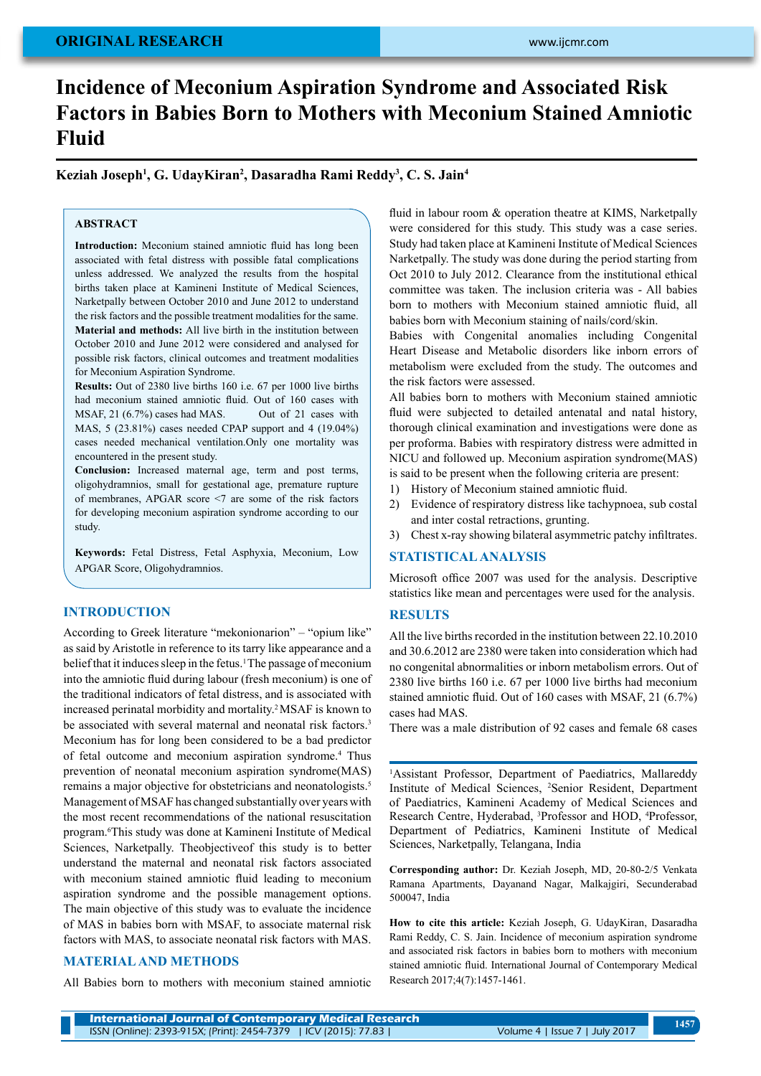# **original research**

# **Incidence of Meconium Aspiration Syndrome and Associated Risk Factors in Babies Born to Mothers with Meconium Stained Amniotic Fluid**

**Keziah Joseph1 , G. UdayKiran2 , Dasaradha Rami Reddy3 , C. S. Jain4**

# **ABSTRACT**

**Introduction:** Meconium stained amniotic fluid has long been associated with fetal distress with possible fatal complications unless addressed. We analyzed the results from the hospital births taken place at Kamineni Institute of Medical Sciences, Narketpally between October 2010 and June 2012 to understand the risk factors and the possible treatment modalities for the same. **Material and methods:** All live birth in the institution between October 2010 and June 2012 were considered and analysed for possible risk factors, clinical outcomes and treatment modalities for Meconium Aspiration Syndrome.

**Results:** Out of 2380 live births 160 i.e. 67 per 1000 live births had meconium stained amniotic fluid. Out of 160 cases with MSAF, 21 (6.7%) cases had MAS. Out of 21 cases with MAS, 5 (23.81%) cases needed CPAP support and 4 (19.04%) cases needed mechanical ventilation.Only one mortality was encountered in the present study.

**Conclusion:** Increased maternal age, term and post terms, oligohydramnios, small for gestational age, premature rupture of membranes, APGAR score <7 are some of the risk factors for developing meconium aspiration syndrome according to our study.

**Keywords:** Fetal Distress, Fetal Asphyxia, Meconium, Low APGAR Score, Oligohydramnios.

## **Introduction**

According to Greek literature "mekonionarion" – "opium like" as said by Aristotle in reference to its tarry like appearance and a belief that it induces sleep in the fetus.<sup>1</sup> The passage of meconium into the amniotic fluid during labour (fresh meconium) is one of the traditional indicators of fetal distress, and is associated with increased perinatal morbidity and mortality.2 MSAF is known to be associated with several maternal and neonatal risk factors.<sup>3</sup> Meconium has for long been considered to be a bad predictor of fetal outcome and meconium aspiration syndrome.4 Thus prevention of neonatal meconium aspiration syndrome(MAS) remains a major objective for obstetricians and neonatologists.5 Management of MSAF has changed substantially over years with the most recent recommendations of the national resuscitation program.6 This study was done at Kamineni Institute of Medical Sciences, Narketpally. Theobjectiveof this study is to better understand the maternal and neonatal risk factors associated with meconium stained amniotic fluid leading to meconium aspiration syndrome and the possible management options. The main objective of this study was to evaluate the incidence of MAS in babies born with MSAF, to associate maternal risk factors with MAS, to associate neonatal risk factors with MAS.

#### **Material and Methods**

All Babies born to mothers with meconium stained amniotic

fluid in labour room & operation theatre at KIMS, Narketpally were considered for this study. This study was a case series. Study had taken place at Kamineni Institute of Medical Sciences Narketpally. The study was done during the period starting from Oct 2010 to July 2012. Clearance from the institutional ethical committee was taken. The inclusion criteria was - All babies born to mothers with Meconium stained amniotic fluid, all babies born with Meconium staining of nails/cord/skin.

Babies with Congenital anomalies including Congenital Heart Disease and Metabolic disorders like inborn errors of metabolism were excluded from the study. The outcomes and the risk factors were assessed.

All babies born to mothers with Meconium stained amniotic fluid were subjected to detailed antenatal and natal history, thorough clinical examination and investigations were done as per proforma. Babies with respiratory distress were admitted in NICU and followed up. Meconium aspiration syndrome(MAS) is said to be present when the following criteria are present:

- 1) History of Meconium stained amniotic fluid.
- 2) Evidence of respiratory distress like tachypnoea, sub costal and inter costal retractions, grunting.

3) Chest x-ray showing bilateral asymmetric patchy infiltrates.

### **STATISTICAL ANALYSIS**

Microsoft office 2007 was used for the analysis. Descriptive statistics like mean and percentages were used for the analysis.

# **Results**

All the live births recorded in the institution between 22.10.2010 and 30.6.2012 are 2380 were taken into consideration which had no congenital abnormalities or inborn metabolism errors. Out of 2380 live births 160 i.e. 67 per 1000 live births had meconium stained amniotic fluid. Out of 160 cases with MSAF, 21 (6.7%) cases had MAS.

There was a male distribution of 92 cases and female 68 cases

1 Assistant Professor, Department of Paediatrics, Mallareddy Institute of Medical Sciences, 2 Senior Resident, Department of Paediatrics, Kamineni Academy of Medical Sciences and Research Centre, Hyderabad, <sup>3</sup>Professor and HOD, <sup>4</sup>Professor, Department of Pediatrics, Kamineni Institute of Medical Sciences, Narketpally, Telangana, India

**Corresponding author:** Dr. Keziah Joseph, MD, 20-80-2/5 Venkata Ramana Apartments, Dayanand Nagar, Malkajgiri, Secunderabad 500047, India

**How to cite this article:** Keziah Joseph, G. UdayKiran, Dasaradha Rami Reddy, C. S. Jain. Incidence of meconium aspiration syndrome and associated risk factors in babies born to mothers with meconium stained amniotic fluid. International Journal of Contemporary Medical Research 2017;4(7):1457-1461.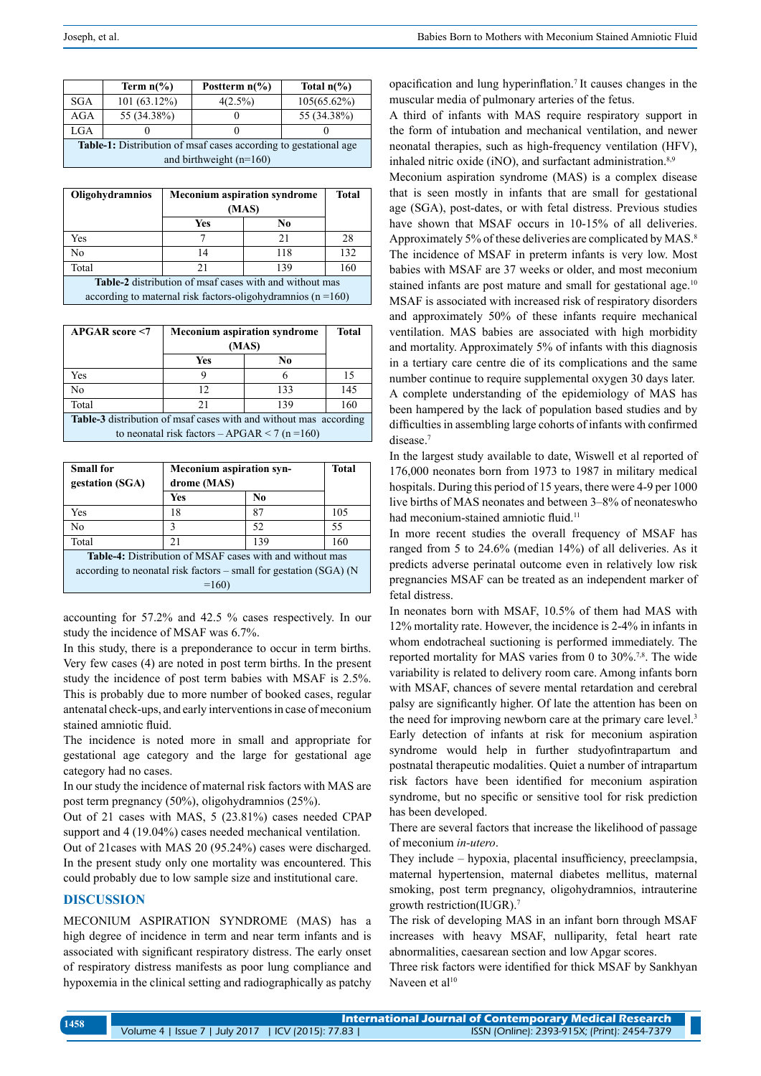|                                                                         | Term $n\frac{6}{6}$ | Postterm $n\frac{6}{6}$ | Total $n\frac{6}{6}$ |  |  |  |
|-------------------------------------------------------------------------|---------------------|-------------------------|----------------------|--|--|--|
| <b>SGA</b>                                                              | 101(63.12%)         | $4(2.5\%)$              | 105(65.62%)          |  |  |  |
| <b>AGA</b>                                                              | 55 (34.38%)         |                         | 55 (34.38%)          |  |  |  |
| <b>LGA</b>                                                              |                     |                         |                      |  |  |  |
| <b>Table-1:</b> Distribution of msaf cases according to gestational age |                     |                         |                      |  |  |  |
| and birthweight $(n=160)$                                               |                     |                         |                      |  |  |  |

| <b>Oligohydramnios</b>                                           | <b>Meconium aspiration syndrome</b> |     | <b>Total</b> |  |  |
|------------------------------------------------------------------|-------------------------------------|-----|--------------|--|--|
|                                                                  | (MAS)                               |     |              |  |  |
|                                                                  | Yes                                 | No  |              |  |  |
| Yes                                                              |                                     | 21  | 28           |  |  |
| No                                                               | 14                                  | 118 | 132          |  |  |
| Total                                                            | 21                                  | 139 | 160          |  |  |
| <b>Table-2</b> distribution of msaf cases with and without mas   |                                     |     |              |  |  |
| according to maternal risk factors-oligohydramnios ( $n = 160$ ) |                                     |     |              |  |  |

| <b>APGAR</b> score <7                                                    | <b>Meconium aspiration syndrome</b><br>(MAS) |     | <b>Total</b> |  |  |
|--------------------------------------------------------------------------|----------------------------------------------|-----|--------------|--|--|
|                                                                          | Yes                                          | No  |              |  |  |
| Yes                                                                      | 9                                            | 6   | 15           |  |  |
| N <sub>0</sub>                                                           | 12.                                          | 133 | 145          |  |  |
| Total                                                                    | 21                                           | 139 | 160          |  |  |
| <b>Table-3</b> distribution of msaf cases with and without mas according |                                              |     |              |  |  |
| to neonatal risk factors – APGAR < 7 (n = 160)                           |                                              |     |              |  |  |

| <b>Small for</b><br>gestation (SGA)                                 | <b>Meconium aspiration syn-</b><br>drome (MAS) |     | <b>Total</b> |  |  |
|---------------------------------------------------------------------|------------------------------------------------|-----|--------------|--|--|
|                                                                     | Yes                                            | No  |              |  |  |
| Yes                                                                 | 18                                             | 87  | 105          |  |  |
| N <sub>0</sub>                                                      | 3                                              | 52  | 55           |  |  |
| Total                                                               | 21                                             | 139 | 160          |  |  |
| <b>Table-4:</b> Distribution of MSAF cases with and without mas     |                                                |     |              |  |  |
| according to neonatal risk factors $-$ small for gestation (SGA) (N |                                                |     |              |  |  |
| $=160$                                                              |                                                |     |              |  |  |

accounting for 57.2% and 42.5 % cases respectively. In our study the incidence of MSAF was 6.7%.

In this study, there is a preponderance to occur in term births. Very few cases (4) are noted in post term births. In the present study the incidence of post term babies with MSAF is 2.5%. This is probably due to more number of booked cases, regular antenatal check-ups, and early interventions in case of meconium stained amniotic fluid.

The incidence is noted more in small and appropriate for gestational age category and the large for gestational age category had no cases.

In our study the incidence of maternal risk factors with MAS are post term pregnancy (50%), oligohydramnios (25%).

Out of 21 cases with MAS, 5 (23.81%) cases needed CPAP support and 4 (19.04%) cases needed mechanical ventilation.

Out of 21cases with MAS 20 (95.24%) cases were discharged. In the present study only one mortality was encountered. This could probably due to low sample size and institutional care.

# **DISCUSSION**

MECONIUM ASPIRATION SYNDROME (MAS) has a high degree of incidence in term and near term infants and is associated with significant respiratory distress. The early onset of respiratory distress manifests as poor lung compliance and hypoxemia in the clinical setting and radiographically as patchy opacification and lung hyperinflation.7 It causes changes in the muscular media of pulmonary arteries of the fetus.

A third of infants with MAS require respiratory support in the form of intubation and mechanical ventilation, and newer neonatal therapies, such as high-frequency ventilation (HFV), inhaled nitric oxide (iNO), and surfactant administration. $8,9$ 

Meconium aspiration syndrome (MAS) is a complex disease that is seen mostly in infants that are small for gestational age (SGA), post-dates, or with fetal distress. Previous studies have shown that MSAF occurs in 10-15% of all deliveries. Approximately 5% of these deliveries are complicated by MAS.<sup>8</sup> The incidence of MSAF in preterm infants is very low. Most babies with MSAF are 37 weeks or older, and most meconium stained infants are post mature and small for gestational age.<sup>10</sup> MSAF is associated with increased risk of respiratory disorders and approximately 50% of these infants require mechanical ventilation. MAS babies are associated with high morbidity and mortality. Approximately 5% of infants with this diagnosis in a tertiary care centre die of its complications and the same number continue to require supplemental oxygen 30 days later. A complete understanding of the epidemiology of MAS has been hampered by the lack of population based studies and by difficulties in assembling large cohorts of infants with confirmed disease.<sup>7</sup>

In the largest study available to date, Wiswell et al reported of 176,000 neonates born from 1973 to 1987 in military medical hospitals. During this period of 15 years, there were 4-9 per 1000 live births of MAS neonates and between 3–8% of neonateswho had meconium-stained amniotic fluid.<sup>11</sup>

In more recent studies the overall frequency of MSAF has ranged from 5 to 24.6% (median 14%) of all deliveries. As it predicts adverse perinatal outcome even in relatively low risk pregnancies MSAF can be treated as an independent marker of fetal distress.

In neonates born with MSAF, 10.5% of them had MAS with 12% mortality rate. However, the incidence is 2-4% in infants in whom endotracheal suctioning is performed immediately. The reported mortality for MAS varies from 0 to 30%.<sup>7,8</sup>. The wide variability is related to delivery room care. Among infants born with MSAF, chances of severe mental retardation and cerebral palsy are significantly higher. Of late the attention has been on the need for improving newborn care at the primary care level.<sup>3</sup> Early detection of infants at risk for meconium aspiration syndrome would help in further studyofintrapartum and postnatal therapeutic modalities. Quiet a number of intrapartum risk factors have been identified for meconium aspiration syndrome, but no specific or sensitive tool for risk prediction has been developed.

There are several factors that increase the likelihood of passage of meconium *in-utero*.

They include – hypoxia, placental insufficiency, preeclampsia, maternal hypertension, maternal diabetes mellitus, maternal smoking, post term pregnancy, oligohydramnios, intrauterine growth restriction(IUGR).7

The risk of developing MAS in an infant born through MSAF increases with heavy MSAF, nulliparity, fetal heart rate abnormalities, caesarean section and low Apgar scores.

Three risk factors were identified for thick MSAF by Sankhyan Naveen et al<sup>10</sup>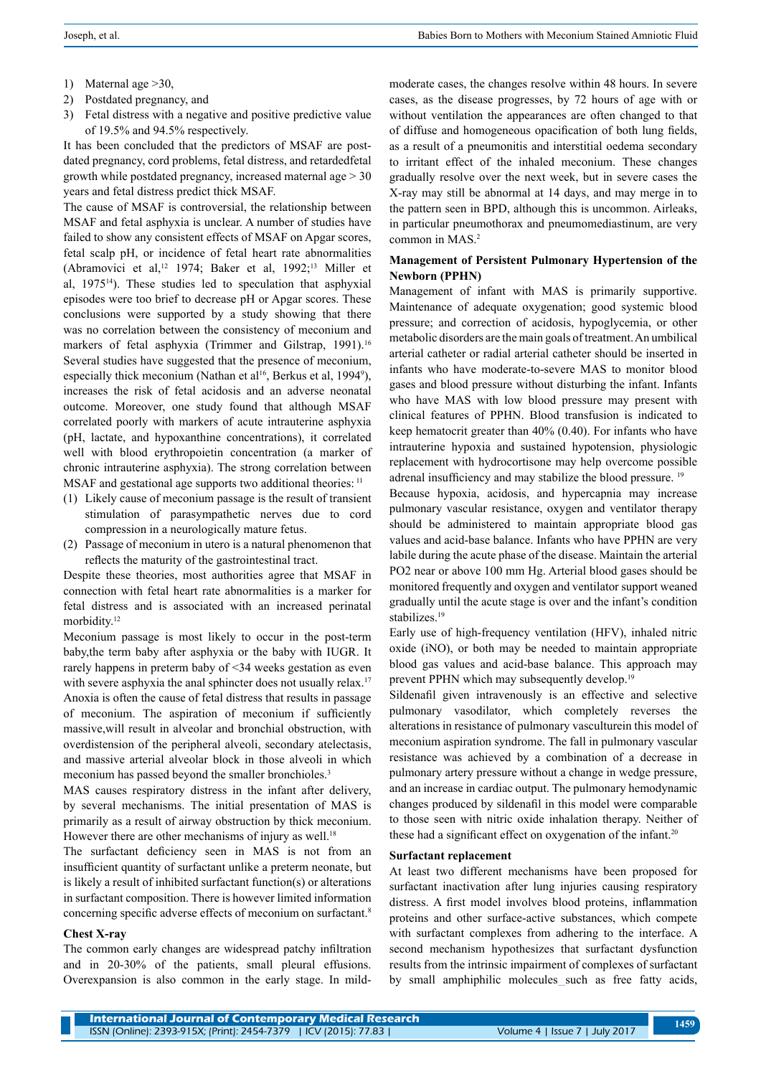- 1) Maternal age >30,
- 2) Postdated pregnancy, and
- 3) Fetal distress with a negative and positive predictive value of 19.5% and 94.5% respectively.

It has been concluded that the predictors of MSAF are postdated pregnancy, cord problems, fetal distress, and retardedfetal growth while postdated pregnancy, increased maternal age > 30 years and fetal distress predict thick MSAF.

The cause of MSAF is controversial, the relationship between MSAF and fetal asphyxia is unclear. A number of studies have failed to show any consistent effects of MSAF on Apgar scores, fetal scalp pH, or incidence of fetal heart rate abnormalities (Abramovici et al,12 1974; Baker et al, 1992;13 Miller et al,  $1975<sup>14</sup>$ ). These studies led to speculation that asphyxial episodes were too brief to decrease pH or Apgar scores. These conclusions were supported by a study showing that there was no correlation between the consistency of meconium and markers of fetal asphyxia (Trimmer and Gilstrap, 1991).<sup>16</sup> Several studies have suggested that the presence of meconium, especially thick meconium (Nathan et al<sup>16</sup>, Berkus et al, 1994<sup>9</sup>), increases the risk of fetal acidosis and an adverse neonatal outcome. Moreover, one study found that although MSAF correlated poorly with markers of acute intrauterine asphyxia (pH, lactate, and hypoxanthine concentrations), it correlated well with blood erythropoietin concentration (a marker of chronic intrauterine asphyxia). The strong correlation between MSAF and gestational age supports two additional theories: <sup>11</sup>

- (1) Likely cause of meconium passage is the result of transient stimulation of parasympathetic nerves due to cord compression in a neurologically mature fetus.
- (2) Passage of meconium in utero is a natural phenomenon that reflects the maturity of the gastrointestinal tract.

Despite these theories, most authorities agree that MSAF in connection with fetal heart rate abnormalities is a marker for fetal distress and is associated with an increased perinatal morbidity.<sup>12</sup>

Meconium passage is most likely to occur in the post-term baby,the term baby after asphyxia or the baby with IUGR. It rarely happens in preterm baby of <34 weeks gestation as even with severe asphyxia the anal sphincter does not usually relax.<sup>17</sup> Anoxia is often the cause of fetal distress that results in passage of meconium. The aspiration of meconium if sufficiently massive,will result in alveolar and bronchial obstruction, with overdistension of the peripheral alveoli, secondary atelectasis, and massive arterial alveolar block in those alveoli in which meconium has passed beyond the smaller bronchioles.<sup>3</sup>

MAS causes respiratory distress in the infant after delivery, by several mechanisms. The initial presentation of MAS is primarily as a result of airway obstruction by thick meconium. However there are other mechanisms of injury as well.<sup>18</sup>

The surfactant deficiency seen in MAS is not from an insufficient quantity of surfactant unlike a preterm neonate, but is likely a result of inhibited surfactant function(s) or alterations in surfactant composition. There is however limited information concerning specific adverse effects of meconium on surfactant.8

#### **Chest X-ray**

The common early changes are widespread patchy infiltration and in 20-30% of the patients, small pleural effusions. Overexpansion is also common in the early stage. In mild-

moderate cases, the changes resolve within 48 hours. In severe cases, as the disease progresses, by 72 hours of age with or without ventilation the appearances are often changed to that of diffuse and homogeneous opacification of both lung fields, as a result of a pneumonitis and interstitial oedema secondary to irritant effect of the inhaled meconium. These changes gradually resolve over the next week, but in severe cases the X-ray may still be abnormal at 14 days, and may merge in to the pattern seen in BPD, although this is uncommon. Airleaks, in particular pneumothorax and pneumomediastinum, are very common in MAS.2

#### **Management of Persistent Pulmonary Hypertension of the Newborn (PPHN)**

Management of infant with MAS is primarily supportive. Maintenance of adequate oxygenation; good systemic blood pressure; and correction of acidosis, hypoglycemia, or other metabolic disorders are the main goals of treatment. An umbilical arterial catheter or radial arterial catheter should be inserted in infants who have moderate-to-severe MAS to monitor blood gases and blood pressure without disturbing the infant. Infants who have MAS with low blood pressure may present with clinical features of PPHN. Blood transfusion is indicated to keep hematocrit greater than 40% (0.40). For infants who have intrauterine hypoxia and sustained hypotension, physiologic replacement with hydrocortisone may help overcome possible adrenal insufficiency and may stabilize the blood pressure. 19

Because hypoxia, acidosis, and hypercapnia may increase pulmonary vascular resistance, oxygen and ventilator therapy should be administered to maintain appropriate blood gas values and acid-base balance. Infants who have PPHN are very labile during the acute phase of the disease. Maintain the arterial PO2 near or above 100 mm Hg. Arterial blood gases should be monitored frequently and oxygen and ventilator support weaned gradually until the acute stage is over and the infant's condition stabilizes.<sup>19</sup>

Early use of high-frequency ventilation (HFV), inhaled nitric oxide (iNO), or both may be needed to maintain appropriate blood gas values and acid-base balance. This approach may prevent PPHN which may subsequently develop.<sup>19</sup>

Sildenafil given intravenously is an effective and selective pulmonary vasodilator, which completely reverses the alterations in resistance of pulmonary vasculturein this model of meconium aspiration syndrome. The fall in pulmonary vascular resistance was achieved by a combination of a decrease in pulmonary artery pressure without a change in wedge pressure, and an increase in cardiac output. The pulmonary hemodynamic changes produced by sildenafil in this model were comparable to those seen with nitric oxide inhalation therapy. Neither of these had a significant effect on oxygenation of the infant.<sup>20</sup>

#### **Surfactant replacement**

At least two different mechanisms have been proposed for surfactant inactivation after lung injuries causing respiratory distress. A first model involves blood proteins, inflammation proteins and other surface-active substances, which compete with surfactant complexes from adhering to the interface. A second mechanism hypothesizes that surfactant dysfunction results from the intrinsic impairment of complexes of surfactant by small amphiphilic molecules\_such as free fatty acids,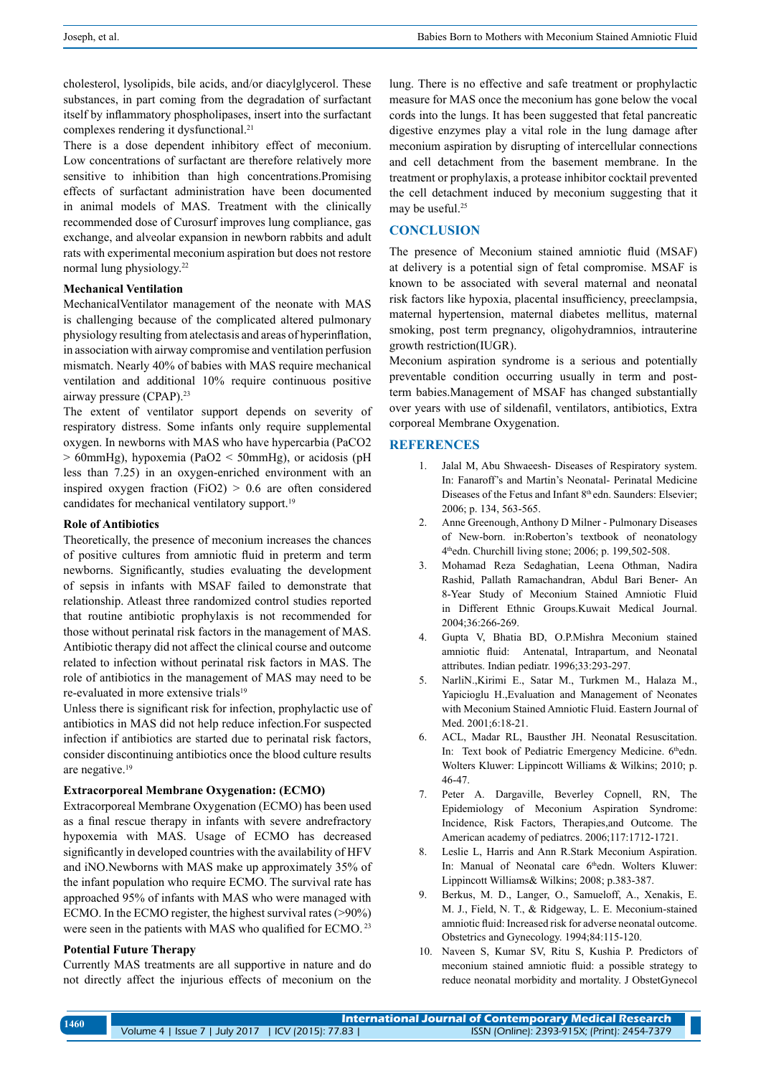cholesterol, lysolipids, bile acids, and/or diacylglycerol. These substances, in part coming from the degradation of surfactant itself by inflammatory phospholipases, insert into the surfactant complexes rendering it dysfunctional.<sup>21</sup>

There is a dose dependent inhibitory effect of meconium. Low concentrations of surfactant are therefore relatively more sensitive to inhibition than high concentrations.Promising effects of surfactant administration have been documented in animal models of MAS. Treatment with the clinically recommended dose of Curosurf improves lung compliance, gas exchange, and alveolar expansion in newborn rabbits and adult rats with experimental meconium aspiration but does not restore normal lung physiology.22

#### **Mechanical Ventilation**

MechanicalVentilator management of the neonate with MAS is challenging because of the complicated altered pulmonary physiology resulting from atelectasis and areas of hyperinflation, in association with airway compromise and ventilation perfusion mismatch. Nearly 40% of babies with MAS require mechanical ventilation and additional 10% require continuous positive airway pressure (CPAP).23

The extent of ventilator support depends on severity of respiratory distress. Some infants only require supplemental oxygen. In newborns with MAS who have hypercarbia (PaCO2 > 60mmHg), hypoxemia (PaO2 < 50mmHg), or acidosis (pH less than 7.25) in an oxygen-enriched environment with an inspired oxygen fraction (FiO2)  $> 0.6$  are often considered candidates for mechanical ventilatory support.<sup>19</sup>

#### **Role of Antibiotics**

Theoretically, the presence of meconium increases the chances of positive cultures from amniotic fluid in preterm and term newborns. Significantly, studies evaluating the development of sepsis in infants with MSAF failed to demonstrate that relationship. Atleast three randomized control studies reported that routine antibiotic prophylaxis is not recommended for those without perinatal risk factors in the management of MAS. Antibiotic therapy did not affect the clinical course and outcome related to infection without perinatal risk factors in MAS. The role of antibiotics in the management of MAS may need to be re-evaluated in more extensive trials<sup>19</sup>

Unless there is significant risk for infection, prophylactic use of antibiotics in MAS did not help reduce infection.For suspected infection if antibiotics are started due to perinatal risk factors, consider discontinuing antibiotics once the blood culture results are negative.19

#### **Extracorporeal Membrane Oxygenation: (ECMO)**

Extracorporeal Membrane Oxygenation (ECMO) has been used as a final rescue therapy in infants with severe andrefractory hypoxemia with MAS. Usage of ECMO has decreased significantly in developed countries with the availability of HFV and iNO.Newborns with MAS make up approximately 35% of the infant population who require ECMO. The survival rate has approached 95% of infants with MAS who were managed with ECMO. In the ECMO register, the highest survival rates (>90%) were seen in the patients with MAS who qualified for ECMO. 23

### **Potential Future Therapy**

Currently MAS treatments are all supportive in nature and do not directly affect the injurious effects of meconium on the lung. There is no effective and safe treatment or prophylactic measure for MAS once the meconium has gone below the vocal cords into the lungs. It has been suggested that fetal pancreatic digestive enzymes play a vital role in the lung damage after meconium aspiration by disrupting of intercellular connections and cell detachment from the basement membrane. In the treatment or prophylaxis, a protease inhibitor cocktail prevented the cell detachment induced by meconium suggesting that it may be useful.<sup>25</sup>

## **Conclusion**

The presence of Meconium stained amniotic fluid (MSAF) at delivery is a potential sign of fetal compromise. MSAF is known to be associated with several maternal and neonatal risk factors like hypoxia, placental insufficiency, preeclampsia, maternal hypertension, maternal diabetes mellitus, maternal smoking, post term pregnancy, oligohydramnios, intrauterine growth restriction(IUGR).

Meconium aspiration syndrome is a serious and potentially preventable condition occurring usually in term and postterm babies.Management of MSAF has changed substantially over years with use of sildenafil, ventilators, antibiotics, Extra corporeal Membrane Oxygenation.

### **References**

- Jalal M, Abu Shwaeesh- Diseases of Respiratory system. In: Fanaroff's and Martin's Neonatal- Perinatal Medicine Diseases of the Fetus and Infant 8<sup>th</sup> edn. Saunders: Elsevier; 2006; p. 134, 563-565.
- 2. Anne Greenough, Anthony D Milner Pulmonary Diseases of New-born. in:Roberton's textbook of neonatology 4thedn. Churchill living stone; 2006; p. 199,502-508.
- 3. Mohamad Reza Sedaghatian, Leena Othman, Nadira Rashid, Pallath Ramachandran, Abdul Bari Bener- An 8-Year Study of Meconium Stained Amniotic Fluid in Different Ethnic Groups.Kuwait Medical Journal. 2004;36:266-269.
- 4. Gupta V, Bhatia BD, O.P.Mishra Meconium stained amniotic fluid: Antenatal, Intrapartum, and Neonatal attributes. Indian pediatr. 1996;33:293-297.
- 5. NarliN.,Kirimi E., Satar M., Turkmen M., Halaza M., Yapicioglu H.,Evaluation and Management of Neonates with Meconium Stained Amniotic Fluid. Eastern Journal of Med. 2001;6:18-21.
- 6. ACL, Madar RL, Bausther JH. Neonatal Resuscitation. In: Text book of Pediatric Emergency Medicine. 6thedn. Wolters Kluwer: Lippincott Williams & Wilkins; 2010; p. 46-47.
- 7. Peter A. Dargaville, Beverley Copnell, RN, The Epidemiology of Meconium Aspiration Syndrome: Incidence, Risk Factors, Therapies,and Outcome. The American academy of pediatrcs. 2006;117:1712-1721.
- 8. Leslie L, Harris and Ann R.Stark Meconium Aspiration. In: Manual of Neonatal care 6<sup>th</sup>edn. Wolters Kluwer: Lippincott Williams& Wilkins; 2008; p.383-387.
- 9. Berkus, M. D., Langer, O., Samueloff, A., Xenakis, E. M. J., Field, N. T., & Ridgeway, L. E. Meconium-stained amniotic fluid: Increased risk for adverse neonatal outcome. Obstetrics and Gynecology. 1994;84:115-120.
- 10. Naveen S, Kumar SV, Ritu S, Kushia P. Predictors of meconium stained amniotic fluid: a possible strategy to reduce neonatal morbidity and mortality. J ObstetGynecol